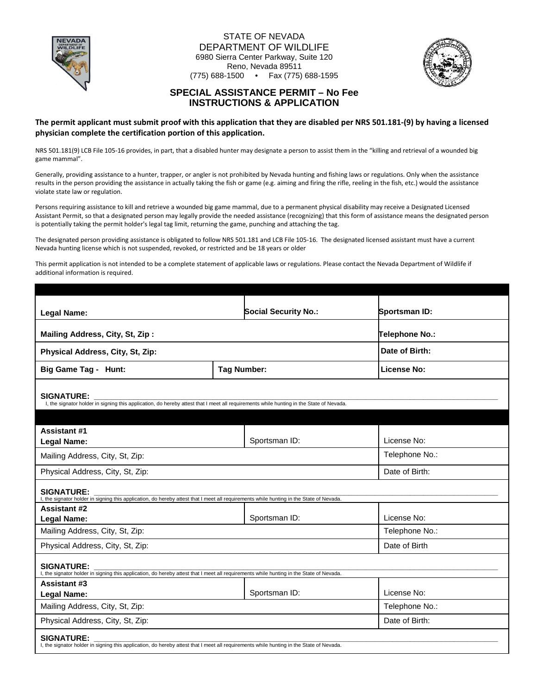

### STATE OF NEVADA DEPARTMENT OF WILDLIFE 6980 Sierra Center Parkway, Suite 120 Reno, Nevada 89511 (775) 688-1500 • Fax (775) 688-1595



## **SPECIAL ASSISTANCE PERMIT – No Fee INSTRUCTIONS & APPLICATION**

**The permit applicant must submit proof with this application that they are disabled per NRS 501.181-(9) by having a licensed physician complete the certification portion of this application.** 

NRS 501.181(9) LCB File 105-16 provides, in part, that a disabled hunter may designate a person to assist them in the "killing and retrieval of a wounded big game mammal".

Generally, providing assistance to a hunter, trapper, or angler is not prohibited by Nevada hunting and fishing laws or regulations. Only when the assistance results in the person providing the assistance in actually taking the fish or game (e.g. aiming and firing the rifle, reeling in the fish, etc.) would the assistance violate state law or regulation.

Persons requiring assistance to kill and retrieve a wounded big game mammal, due to a permanent physical disability may receive a Designated Licensed Assistant Permit, so that a designated person may legally provide the needed assistance (recognizing) that this form of assistance means the designated person is potentially taking the permit holder's legal tag limit, returning the game, punching and attaching the tag.

The designated person providing assistance is obligated to follow NRS 501.181 and LCB File 105-16. The designated licensed assistant must have a current Nevada hunting license which is not suspended, revoked, or restricted and be 18 years or older

This permit application is not intended to be a complete statement of applicable laws or regulations. Please contact the Nevada Department of Wildlife if additional information is required.

| <b>Legal Name:</b>                                                                                                                                           |                    | <b>Social Security No.:</b> | Sportsman ID:      |  |  |  |
|--------------------------------------------------------------------------------------------------------------------------------------------------------------|--------------------|-----------------------------|--------------------|--|--|--|
|                                                                                                                                                              |                    |                             |                    |  |  |  |
| Mailing Address, City, St, Zip:                                                                                                                              |                    |                             | Telephone No.:     |  |  |  |
| Physical Address, City, St, Zip:                                                                                                                             |                    |                             | Date of Birth:     |  |  |  |
| <b>Big Game Tag - Hunt:</b>                                                                                                                                  | <b>Tag Number:</b> |                             | <b>License No:</b> |  |  |  |
|                                                                                                                                                              |                    |                             |                    |  |  |  |
| <b>SIGNATURE:</b><br>I, the signator holder in signing this application, do hereby attest that I meet all requirements while hunting in the State of Nevada. |                    |                             |                    |  |  |  |
|                                                                                                                                                              |                    |                             |                    |  |  |  |
| <b>Assistant #1</b>                                                                                                                                          |                    |                             |                    |  |  |  |
| <b>Legal Name:</b>                                                                                                                                           |                    | Sportsman ID:               | License No:        |  |  |  |
| Mailing Address, City, St, Zip:                                                                                                                              |                    |                             | Telephone No.:     |  |  |  |
| Physical Address, City, St, Zip:                                                                                                                             |                    |                             | Date of Birth:     |  |  |  |
| <b>SIGNATURE:</b>                                                                                                                                            |                    |                             |                    |  |  |  |
| I, the signator holder in signing this application, do hereby attest that I meet all requirements while hunting in the State of Nevada.                      |                    |                             |                    |  |  |  |
| <b>Assistant #2</b><br><b>Legal Name:</b>                                                                                                                    |                    | Sportsman ID:               | License No:        |  |  |  |
| Mailing Address, City, St, Zip:                                                                                                                              |                    |                             | Telephone No.:     |  |  |  |
| Physical Address, City, St, Zip:                                                                                                                             |                    |                             | Date of Birth      |  |  |  |
| <b>SIGNATURE:</b><br>I, the signator holder in signing this application, do hereby attest that I meet all requirements while hunting in the State of Nevada. |                    |                             |                    |  |  |  |
| <b>Assistant #3</b>                                                                                                                                          |                    |                             |                    |  |  |  |
| <b>Legal Name:</b>                                                                                                                                           |                    | Sportsman ID:               | License No:        |  |  |  |
| Mailing Address, City, St, Zip:                                                                                                                              |                    |                             | Telephone No.:     |  |  |  |
| Physical Address, City, St, Zip:                                                                                                                             |                    |                             | Date of Birth:     |  |  |  |
| <b>SIGNATURE:</b><br>I, the signator holder in signing this application, do hereby attest that I meet all requirements while hunting in the State of Nevada. |                    |                             |                    |  |  |  |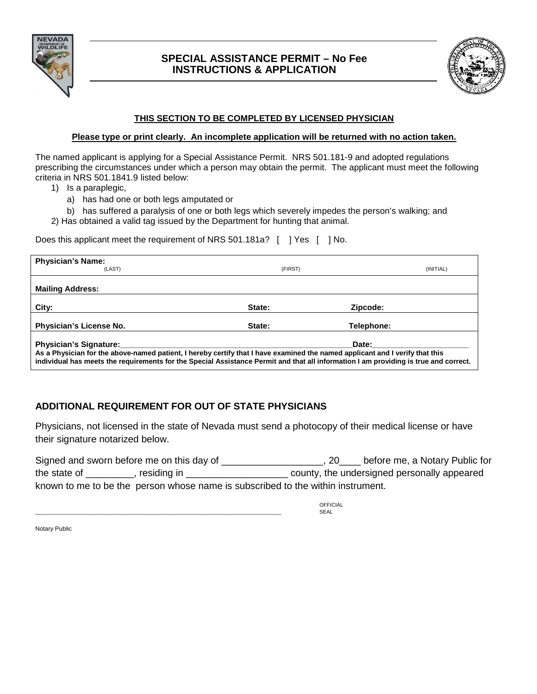

# **SPECIAL ASSISTANCE PERMIT – No Fee INSTRUCTIONS & APPLICATION**



## **THIS SECTION TO BE COMPLETED BY LICENSED PHYSICIAN**

## **Please type or print clearly. An incomplete application will be returned with no action taken.**

The named applicant is applying for a Special Assistance Permit. NRS 501.181-9 and adopted regulations prescribing the circumstances under which a person may obtain the permit. The applicant must meet the following criteria in NRS 501.1841.9 listed below:

- 1) Is a paraplegic,
	- a) has had one or both legs amputated or
	- b) has suffered a paralysis of one or both legs which severely impedes the person's walking; and
- 2) Has obtained a valid tag issued by the Department for hunting that animal.

Does this applicant meet the requirement of NRS 501.181a? [ ] Yes [ ] No.

| <b>Physician's Name:</b><br>(LAST)                                                                                                                                                                                                                                            | (FIRST) | (INITIAL)         |  |  |
|-------------------------------------------------------------------------------------------------------------------------------------------------------------------------------------------------------------------------------------------------------------------------------|---------|-------------------|--|--|
| <b>Mailing Address:</b>                                                                                                                                                                                                                                                       |         |                   |  |  |
| City:                                                                                                                                                                                                                                                                         | State:  | Zipcode:          |  |  |
| Physician's License No.                                                                                                                                                                                                                                                       | State:  | <b>Telephone:</b> |  |  |
| Date:<br>As a Physician for the above-named patient, I hereby certify that I have examined the named applicant and I verify that this<br>individual has meets the requirements for the Special Assistance Permit and that all information I am providing is true and correct. |         |                   |  |  |

# **ADDITIONAL REQUIREMENT FOR OUT OF STATE PHYSICIANS**

Physicians, not licensed in the state of Nevada must send a photocopy of their medical license or have their signature notarized below.

| Signed and sworn before me on this day of                                       |             |  | before me, a Notary Public for              |  |  |
|---------------------------------------------------------------------------------|-------------|--|---------------------------------------------|--|--|
| the state of                                                                    | residing in |  | county, the undersigned personally appeared |  |  |
| known to me to be the person whose name is subscribed to the within instrument. |             |  |                                             |  |  |

**OFFICIAL** \_\_\_\_\_\_\_\_\_\_\_\_\_\_\_\_\_\_\_\_\_\_\_\_\_\_\_\_\_\_\_\_\_\_\_\_\_\_\_\_\_\_\_\_\_\_\_\_\_\_\_\_\_\_\_\_\_\_\_\_\_\_\_\_\_\_\_\_\_\_\_\_\_\_\_\_\_\_\_\_\_\_\_\_ SEAL

Notary Public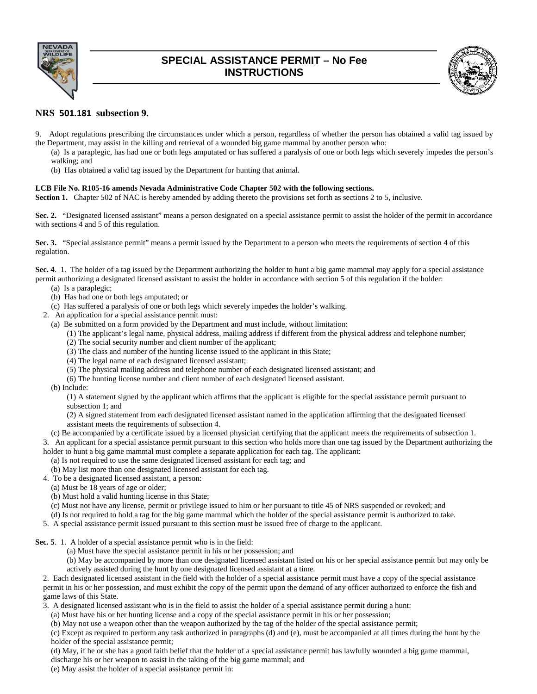

# **SPECIAL ASSISTANCE PERMIT – No Fee INSTRUCTIONS**



## **NRS 501.181 subsection 9.**

- 9. Adopt regulations prescribing the circumstances under which a person, regardless of whether the person has obtained a valid tag issued by the Department, may assist in the killing and retrieval of a wounded big game mammal by another person who:
	- (a) Is a paraplegic, has had one or both legs amputated or has suffered a paralysis of one or both legs which severely impedes the person's walking; and
	- (b) Has obtained a valid tag issued by the Department for hunting that animal.

### **LCB File No. R105-16 amends Nevada Administrative Code Chapter 502 with the following sections.**

**Section 1.** Chapter 502 of NAC is hereby amended by adding thereto the provisions set forth as sections 2 to 5, inclusive.

**Sec. 2.** "Designated licensed assistant" means a person designated on a special assistance permit to assist the holder of the permit in accordance with sections 4 and 5 of this regulation.

**Sec. 3.** "Special assistance permit" means a permit issued by the Department to a person who meets the requirements of section 4 of this regulation.

**Sec. 4**. 1. The holder of a tag issued by the Department authorizing the holder to hunt a big game mammal may apply for a special assistance permit authorizing a designated licensed assistant to assist the holder in accordance with section 5 of this regulation if the holder:

- (a) Is a paraplegic;
- (b) Has had one or both legs amputated; or
- (c) Has suffered a paralysis of one or both legs which severely impedes the holder's walking.
- 2. An application for a special assistance permit must:
	- (a) Be submitted on a form provided by the Department and must include, without limitation:
		- (1) The applicant's legal name, physical address, mailing address if different from the physical address and telephone number;
		- (2) The social security number and client number of the applicant;
		- (3) The class and number of the hunting license issued to the applicant in this State;
		- (4) The legal name of each designated licensed assistant;
		- (5) The physical mailing address and telephone number of each designated licensed assistant; and
		- (6) The hunting license number and client number of each designated licensed assistant.
	- (b) Include:

(1) A statement signed by the applicant which affirms that the applicant is eligible for the special assistance permit pursuant to subsection 1; and

(2) A signed statement from each designated licensed assistant named in the application affirming that the designated licensed assistant meets the requirements of subsection 4.

(c) Be accompanied by a certificate issued by a licensed physician certifying that the applicant meets the requirements of subsection 1.

3. An applicant for a special assistance permit pursuant to this section who holds more than one tag issued by the Department authorizing the holder to hunt a big game mammal must complete a separate application for each tag. The applicant:

- (a) Is not required to use the same designated licensed assistant for each tag; and
- (b) May list more than one designated licensed assistant for each tag.
- 4. To be a designated licensed assistant, a person:
- (a) Must be 18 years of age or older;
- (b) Must hold a valid hunting license in this State;
- (c) Must not have any license, permit or privilege issued to him or her pursuant to title 45 of NRS suspended or revoked; and
- (d) Is not required to hold a tag for the big game mammal which the holder of the special assistance permit is authorized to take.
- 5. A special assistance permit issued pursuant to this section must be issued free of charge to the applicant.
- **Sec. 5**. 1. A holder of a special assistance permit who is in the field:
	- (a) Must have the special assistance permit in his or her possession; and
	- (b) May be accompanied by more than one designated licensed assistant listed on his or her special assistance permit but may only be actively assisted during the hunt by one designated licensed assistant at a time.

2. Each designated licensed assistant in the field with the holder of a special assistance permit must have a copy of the special assistance permit in his or her possession, and must exhibit the copy of the permit upon the demand of any officer authorized to enforce the fish and game laws of this State.

- 3. A designated licensed assistant who is in the field to assist the holder of a special assistance permit during a hunt:
	- (a) Must have his or her hunting license and a copy of the special assistance permit in his or her possession;
	- (b) May not use a weapon other than the weapon authorized by the tag of the holder of the special assistance permit;

(c) Except as required to perform any task authorized in paragraphs (d) and (e), must be accompanied at all times during the hunt by the holder of the special assistance permit;

(d) May, if he or she has a good faith belief that the holder of a special assistance permit has lawfully wounded a big game mammal, discharge his or her weapon to assist in the taking of the big game mammal; and

(e) May assist the holder of a special assistance permit in: